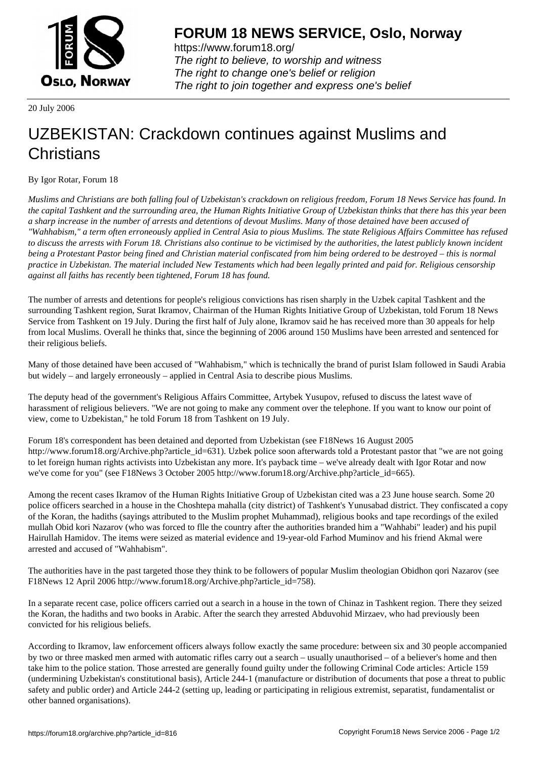

https://www.forum18.org/ The right to believe, to worship and witness The right to change one's belief or religion [The right to join together a](https://www.forum18.org/)nd express one's belief

20 July 2006

## [UZBEKISTAN:](https://www.forum18.org) Crackdown continues against Muslims and **Christians**

## By Igor Rotar, Forum 18

*Muslims and Christians are both falling foul of Uzbekistan's crackdown on religious freedom, Forum 18 News Service has found. In the capital Tashkent and the surrounding area, the Human Rights Initiative Group of Uzbekistan thinks that there has this year been a sharp increase in the number of arrests and detentions of devout Muslims. Many of those detained have been accused of "Wahhabism," a term often erroneously applied in Central Asia to pious Muslims. The state Religious Affairs Committee has refused to discuss the arrests with Forum 18. Christians also continue to be victimised by the authorities, the latest publicly known incident being a Protestant Pastor being fined and Christian material confiscated from him being ordered to be destroyed – this is normal practice in Uzbekistan. The material included New Testaments which had been legally printed and paid for. Religious censorship against all faiths has recently been tightened, Forum 18 has found.*

The number of arrests and detentions for people's religious convictions has risen sharply in the Uzbek capital Tashkent and the surrounding Tashkent region, Surat Ikramov, Chairman of the Human Rights Initiative Group of Uzbekistan, told Forum 18 News Service from Tashkent on 19 July. During the first half of July alone, Ikramov said he has received more than 30 appeals for help from local Muslims. Overall he thinks that, since the beginning of 2006 around 150 Muslims have been arrested and sentenced for their religious beliefs.

Many of those detained have been accused of "Wahhabism," which is technically the brand of purist Islam followed in Saudi Arabia but widely – and largely erroneously – applied in Central Asia to describe pious Muslims.

The deputy head of the government's Religious Affairs Committee, Artybek Yusupov, refused to discuss the latest wave of harassment of religious believers. "We are not going to make any comment over the telephone. If you want to know our point of view, come to Uzbekistan," he told Forum 18 from Tashkent on 19 July.

Forum 18's correspondent has been detained and deported from Uzbekistan (see F18News 16 August 2005 http://www.forum18.org/Archive.php?article\_id=631). Uzbek police soon afterwards told a Protestant pastor that "we are not going to let foreign human rights activists into Uzbekistan any more. It's payback time – we've already dealt with Igor Rotar and now we've come for you" (see F18News 3 October 2005 http://www.forum18.org/Archive.php?article\_id=665).

Among the recent cases Ikramov of the Human Rights Initiative Group of Uzbekistan cited was a 23 June house search. Some 20 police officers searched in a house in the Choshtepa mahalla (city district) of Tashkent's Yunusabad district. They confiscated a copy of the Koran, the hadiths (sayings attributed to the Muslim prophet Muhammad), religious books and tape recordings of the exiled mullah Obid kori Nazarov (who was forced to flle the country after the authorities branded him a "Wahhabi" leader) and his pupil Hairullah Hamidov. The items were seized as material evidence and 19-year-old Farhod Muminov and his friend Akmal were arrested and accused of "Wahhabism".

The authorities have in the past targeted those they think to be followers of popular Muslim theologian Obidhon qori Nazarov (see F18News 12 April 2006 http://www.forum18.org/Archive.php?article\_id=758).

In a separate recent case, police officers carried out a search in a house in the town of Chinaz in Tashkent region. There they seized the Koran, the hadiths and two books in Arabic. After the search they arrested Abduvohid Mirzaev, who had previously been convicted for his religious beliefs.

According to Ikramov, law enforcement officers always follow exactly the same procedure: between six and 30 people accompanied by two or three masked men armed with automatic rifles carry out a search – usually unauthorised – of a believer's home and then take him to the police station. Those arrested are generally found guilty under the following Criminal Code articles: Article 159 (undermining Uzbekistan's constitutional basis), Article 244-1 (manufacture or distribution of documents that pose a threat to public safety and public order) and Article 244-2 (setting up, leading or participating in religious extremist, separatist, fundamentalist or other banned organisations).